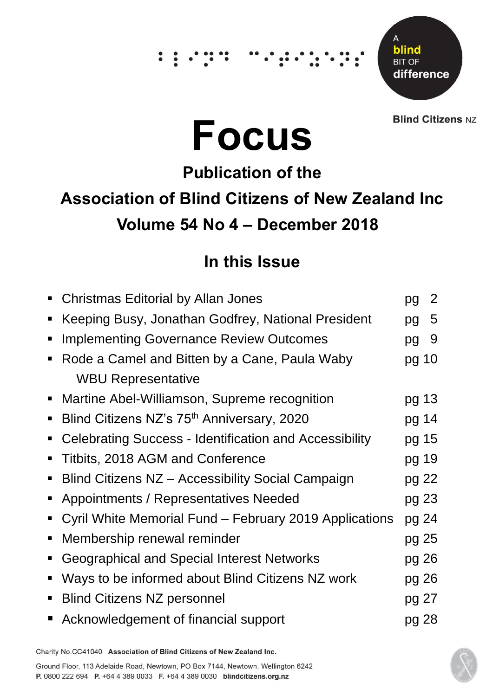# ∵.

Δ blind **BIT OF** difference

**Blind Citizens NZ** 

# **Focus**

# **Publication of the Association of Blind Citizens of New Zealand Inc Volume 54 No 4 – December 2018**

# **In this Issue**

| $\blacksquare$ | <b>Christmas Editorial by Allan Jones</b>                     | pg    | 2 |
|----------------|---------------------------------------------------------------|-------|---|
| п              | Keeping Busy, Jonathan Godfrey, National President            | pg    | 5 |
| п              | <b>Implementing Governance Review Outcomes</b>                | pg    | 9 |
| п              | Rode a Camel and Bitten by a Cane, Paula Waby                 | pg 10 |   |
|                | <b>WBU Representative</b>                                     |       |   |
| $\blacksquare$ | Martine Abel-Williamson, Supreme recognition                  | pg 13 |   |
| п              | Blind Citizens NZ's 75 <sup>th</sup> Anniversary, 2020        | pg 14 |   |
| $\blacksquare$ | <b>Celebrating Success - Identification and Accessibility</b> | pg 15 |   |
| ٠              | Titbits, 2018 AGM and Conference                              | pg 19 |   |
| $\blacksquare$ | Blind Citizens NZ - Accessibility Social Campaign             | pg 22 |   |
| $\blacksquare$ | Appointments / Representatives Needed                         | pg 23 |   |
| П              | Cyril White Memorial Fund – February 2019 Applications        | pg 24 |   |
| п              | Membership renewal reminder                                   | pg 25 |   |
| п              | Geographical and Special Interest Networks                    | pg 26 |   |
| п              | Ways to be informed about Blind Citizens NZ work              | pg 26 |   |
| $\blacksquare$ | <b>Blind Citizens NZ personnel</b>                            | pg 27 |   |
|                | Acknowledgement of financial support                          | pg 28 |   |

Charity No.CC41040 Association of Blind Citizens of New Zealand Inc.

Ground Floor, 113 Adelaide Road, Newtown, PO Box 7144, Newtown, Wellington 6242 P. 0800 222 694 P. +64 4 389 0033 F. +64 4 389 0030 blindcitizens.org.nz

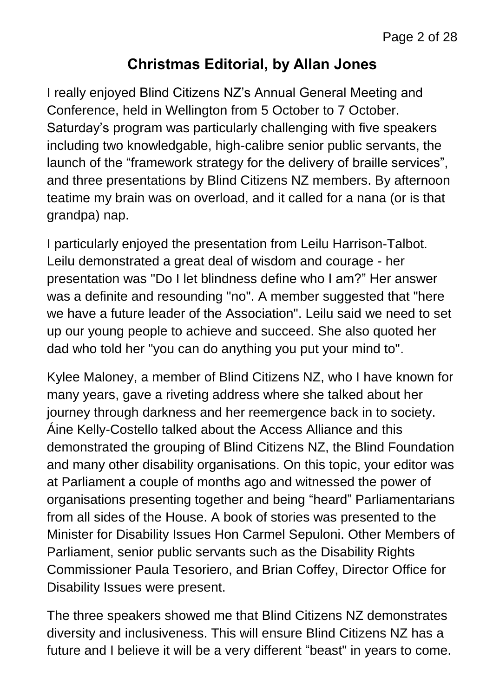#### **Christmas Editorial, by Allan Jones**

I really enjoyed Blind Citizens NZ's Annual General Meeting and Conference, held in Wellington from 5 October to 7 October. Saturday's program was particularly challenging with five speakers including two knowledgable, high-calibre senior public servants, the launch of the "framework strategy for the delivery of braille services", and three presentations by Blind Citizens NZ members. By afternoon teatime my brain was on overload, and it called for a nana (or is that grandpa) nap.

I particularly enjoyed the presentation from Leilu Harrison-Talbot. Leilu demonstrated a great deal of wisdom and courage - her presentation was "Do I let blindness define who I am?" Her answer was a definite and resounding "no". A member suggested that "here we have a future leader of the Association". Leilu said we need to set up our young people to achieve and succeed. She also quoted her dad who told her "you can do anything you put your mind to".

Kylee Maloney, a member of Blind Citizens NZ, who I have known for many years, gave a riveting address where she talked about her journey through darkness and her reemergence back in to society. Áine Kelly-Costello talked about the Access Alliance and this demonstrated the grouping of Blind Citizens NZ, the Blind Foundation and many other disability organisations. On this topic, your editor was at Parliament a couple of months ago and witnessed the power of organisations presenting together and being "heard" Parliamentarians from all sides of the House. A book of stories was presented to the Minister for Disability Issues Hon Carmel Sepuloni. Other Members of Parliament, senior public servants such as the Disability Rights Commissioner Paula Tesoriero, and Brian Coffey, Director Office for Disability Issues were present.

The three speakers showed me that Blind Citizens NZ demonstrates diversity and inclusiveness. This will ensure Blind Citizens NZ has a future and I believe it will be a very different "beast" in years to come.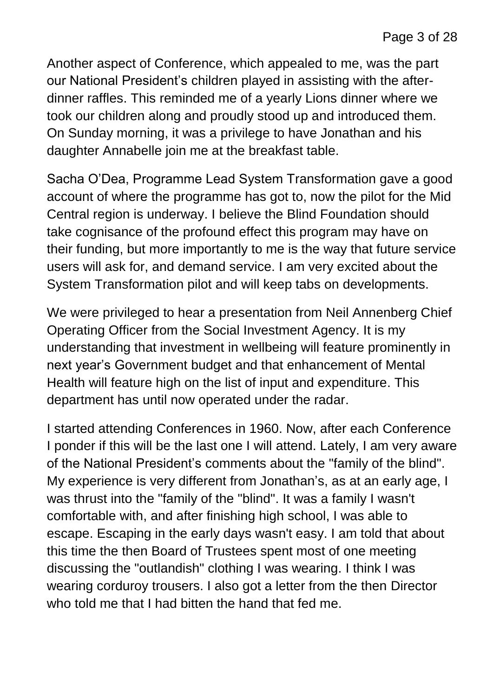Another aspect of Conference, which appealed to me, was the part our National President's children played in assisting with the afterdinner raffles. This reminded me of a yearly Lions dinner where we took our children along and proudly stood up and introduced them. On Sunday morning, it was a privilege to have Jonathan and his daughter Annabelle join me at the breakfast table.

Sacha O'Dea, Programme Lead System Transformation gave a good account of where the programme has got to, now the pilot for the Mid Central region is underway. I believe the Blind Foundation should take cognisance of the profound effect this program may have on their funding, but more importantly to me is the way that future service users will ask for, and demand service. I am very excited about the System Transformation pilot and will keep tabs on developments.

We were privileged to hear a presentation from Neil Annenberg Chief Operating Officer from the Social Investment Agency. It is my understanding that investment in wellbeing will feature prominently in next year's Government budget and that enhancement of Mental Health will feature high on the list of input and expenditure. This department has until now operated under the radar.

I started attending Conferences in 1960. Now, after each Conference I ponder if this will be the last one I will attend. Lately, I am very aware of the National President's comments about the "family of the blind". My experience is very different from Jonathan's, as at an early age, I was thrust into the "family of the "blind". It was a family I wasn't comfortable with, and after finishing high school, I was able to escape. Escaping in the early days wasn't easy. I am told that about this time the then Board of Trustees spent most of one meeting discussing the "outlandish" clothing I was wearing. I think I was wearing corduroy trousers. I also got a letter from the then Director who told me that I had bitten the hand that fed me.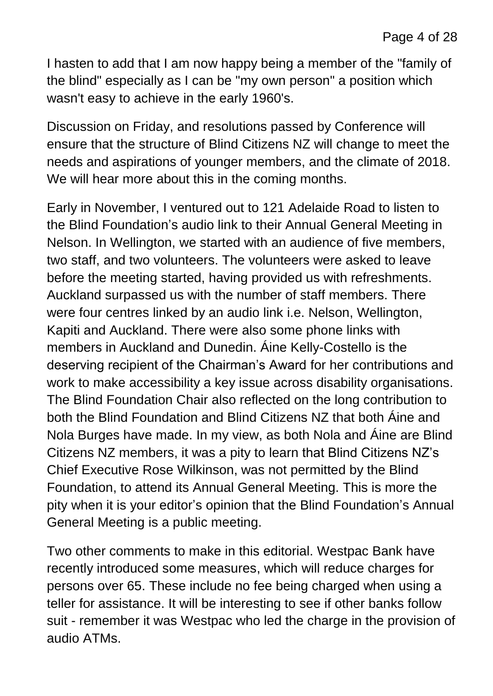I hasten to add that I am now happy being a member of the "family of the blind" especially as I can be "my own person" a position which wasn't easy to achieve in the early 1960's.

Discussion on Friday, and resolutions passed by Conference will ensure that the structure of Blind Citizens NZ will change to meet the needs and aspirations of younger members, and the climate of 2018. We will hear more about this in the coming months.

Early in November, I ventured out to 121 Adelaide Road to listen to the Blind Foundation's audio link to their Annual General Meeting in Nelson. In Wellington, we started with an audience of five members, two staff, and two volunteers. The volunteers were asked to leave before the meeting started, having provided us with refreshments. Auckland surpassed us with the number of staff members. There were four centres linked by an audio link i.e. Nelson, Wellington, Kapiti and Auckland. There were also some phone links with members in Auckland and Dunedin. Áine Kelly-Costello is the deserving recipient of the Chairman's Award for her contributions and work to make accessibility a key issue across disability organisations. The Blind Foundation Chair also reflected on the long contribution to both the Blind Foundation and Blind Citizens NZ that both Áine and Nola Burges have made. In my view, as both Nola and Áine are Blind Citizens NZ members, it was a pity to learn that Blind Citizens NZ's Chief Executive Rose Wilkinson, was not permitted by the Blind Foundation, to attend its Annual General Meeting. This is more the pity when it is your editor's opinion that the Blind Foundation's Annual General Meeting is a public meeting.

Two other comments to make in this editorial. Westpac Bank have recently introduced some measures, which will reduce charges for persons over 65. These include no fee being charged when using a teller for assistance. It will be interesting to see if other banks follow suit - remember it was Westpac who led the charge in the provision of audio ATMs.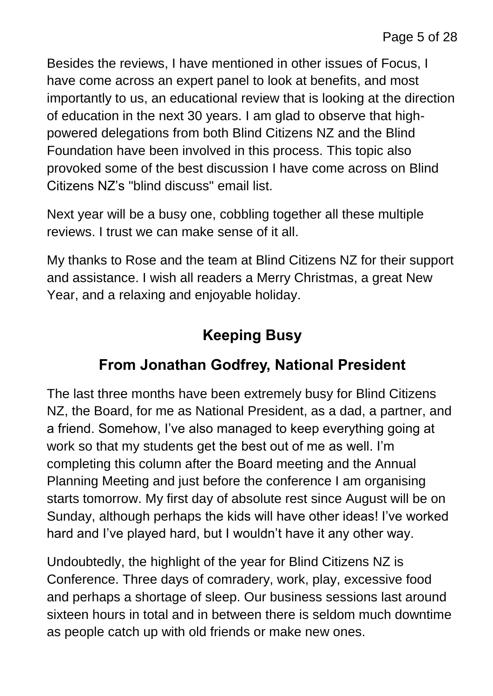Besides the reviews, I have mentioned in other issues of Focus, I have come across an expert panel to look at benefits, and most importantly to us, an educational review that is looking at the direction of education in the next 30 years. I am glad to observe that highpowered delegations from both Blind Citizens NZ and the Blind Foundation have been involved in this process. This topic also provoked some of the best discussion I have come across on Blind Citizens NZ's "blind discuss" email list.

Next year will be a busy one, cobbling together all these multiple reviews. I trust we can make sense of it all.

My thanks to Rose and the team at Blind Citizens NZ for their support and assistance. I wish all readers a Merry Christmas, a great New Year, and a relaxing and enjoyable holiday.

# **Keeping Busy**

#### **From Jonathan Godfrey, National President**

The last three months have been extremely busy for Blind Citizens NZ, the Board, for me as National President, as a dad, a partner, and a friend. Somehow, I've also managed to keep everything going at work so that my students get the best out of me as well. I'm completing this column after the Board meeting and the Annual Planning Meeting and just before the conference I am organising starts tomorrow. My first day of absolute rest since August will be on Sunday, although perhaps the kids will have other ideas! I've worked hard and I've played hard, but I wouldn't have it any other way.

Undoubtedly, the highlight of the year for Blind Citizens NZ is Conference. Three days of comradery, work, play, excessive food and perhaps a shortage of sleep. Our business sessions last around sixteen hours in total and in between there is seldom much downtime as people catch up with old friends or make new ones.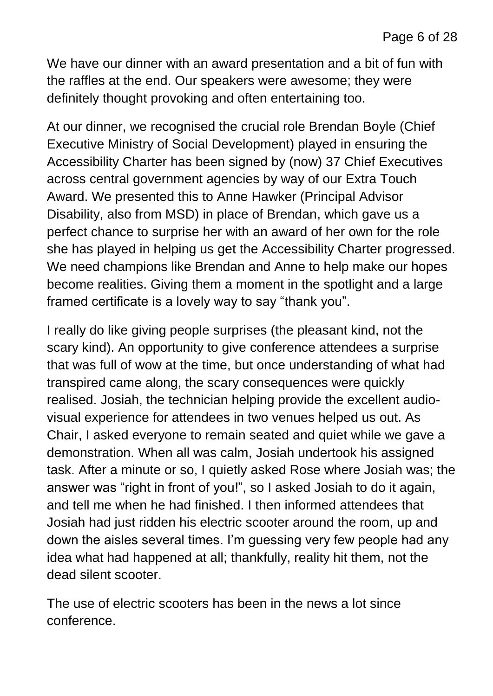We have our dinner with an award presentation and a bit of fun with the raffles at the end. Our speakers were awesome; they were definitely thought provoking and often entertaining too.

At our dinner, we recognised the crucial role Brendan Boyle (Chief Executive Ministry of Social Development) played in ensuring the Accessibility Charter has been signed by (now) 37 Chief Executives across central government agencies by way of our Extra Touch Award. We presented this to Anne Hawker (Principal Advisor Disability, also from MSD) in place of Brendan, which gave us a perfect chance to surprise her with an award of her own for the role she has played in helping us get the Accessibility Charter progressed. We need champions like Brendan and Anne to help make our hopes become realities. Giving them a moment in the spotlight and a large framed certificate is a lovely way to say "thank you".

I really do like giving people surprises (the pleasant kind, not the scary kind). An opportunity to give conference attendees a surprise that was full of wow at the time, but once understanding of what had transpired came along, the scary consequences were quickly realised. Josiah, the technician helping provide the excellent audiovisual experience for attendees in two venues helped us out. As Chair, I asked everyone to remain seated and quiet while we gave a demonstration. When all was calm, Josiah undertook his assigned task. After a minute or so, I quietly asked Rose where Josiah was; the answer was "right in front of you!", so I asked Josiah to do it again, and tell me when he had finished. I then informed attendees that Josiah had just ridden his electric scooter around the room, up and down the aisles several times. I'm guessing very few people had any idea what had happened at all; thankfully, reality hit them, not the dead silent scooter.

The use of electric scooters has been in the news a lot since conference.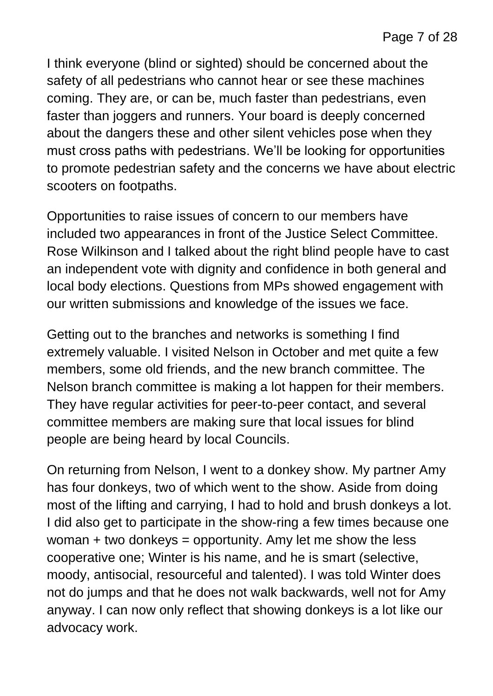I think everyone (blind or sighted) should be concerned about the safety of all pedestrians who cannot hear or see these machines coming. They are, or can be, much faster than pedestrians, even faster than joggers and runners. Your board is deeply concerned about the dangers these and other silent vehicles pose when they must cross paths with pedestrians. We'll be looking for opportunities to promote pedestrian safety and the concerns we have about electric scooters on footpaths.

Opportunities to raise issues of concern to our members have included two appearances in front of the Justice Select Committee. Rose Wilkinson and I talked about the right blind people have to cast an independent vote with dignity and confidence in both general and local body elections. Questions from MPs showed engagement with our written submissions and knowledge of the issues we face.

Getting out to the branches and networks is something I find extremely valuable. I visited Nelson in October and met quite a few members, some old friends, and the new branch committee. The Nelson branch committee is making a lot happen for their members. They have regular activities for peer-to-peer contact, and several committee members are making sure that local issues for blind people are being heard by local Councils.

On returning from Nelson, I went to a donkey show. My partner Amy has four donkeys, two of which went to the show. Aside from doing most of the lifting and carrying, I had to hold and brush donkeys a lot. I did also get to participate in the show-ring a few times because one woman  $+$  two donkeys = opportunity. Amy let me show the less cooperative one; Winter is his name, and he is smart (selective, moody, antisocial, resourceful and talented). I was told Winter does not do jumps and that he does not walk backwards, well not for Amy anyway. I can now only reflect that showing donkeys is a lot like our advocacy work.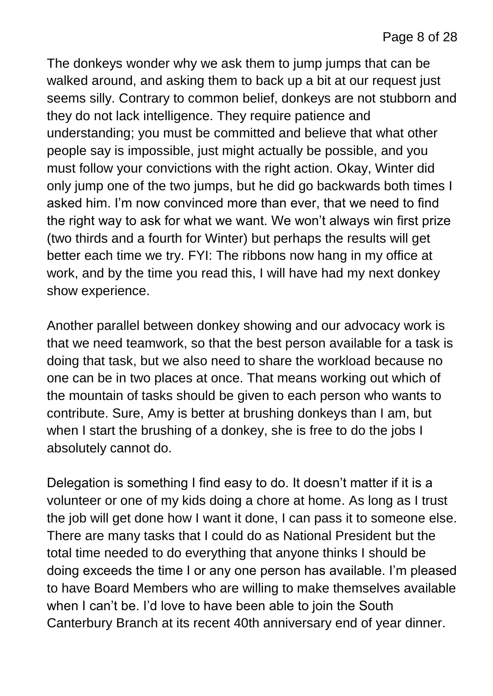The donkeys wonder why we ask them to jump jumps that can be walked around, and asking them to back up a bit at our request just seems silly. Contrary to common belief, donkeys are not stubborn and they do not lack intelligence. They require patience and understanding; you must be committed and believe that what other people say is impossible, just might actually be possible, and you must follow your convictions with the right action. Okay, Winter did only jump one of the two jumps, but he did go backwards both times I asked him. I'm now convinced more than ever, that we need to find the right way to ask for what we want. We won't always win first prize (two thirds and a fourth for Winter) but perhaps the results will get better each time we try. FYI: The ribbons now hang in my office at work, and by the time you read this, I will have had my next donkey show experience.

Another parallel between donkey showing and our advocacy work is that we need teamwork, so that the best person available for a task is doing that task, but we also need to share the workload because no one can be in two places at once. That means working out which of the mountain of tasks should be given to each person who wants to contribute. Sure, Amy is better at brushing donkeys than I am, but when I start the brushing of a donkey, she is free to do the jobs I absolutely cannot do.

Delegation is something I find easy to do. It doesn't matter if it is a volunteer or one of my kids doing a chore at home. As long as I trust the job will get done how I want it done, I can pass it to someone else. There are many tasks that I could do as National President but the total time needed to do everything that anyone thinks I should be doing exceeds the time I or any one person has available. I'm pleased to have Board Members who are willing to make themselves available when I can't be. I'd love to have been able to join the South Canterbury Branch at its recent 40th anniversary end of year dinner.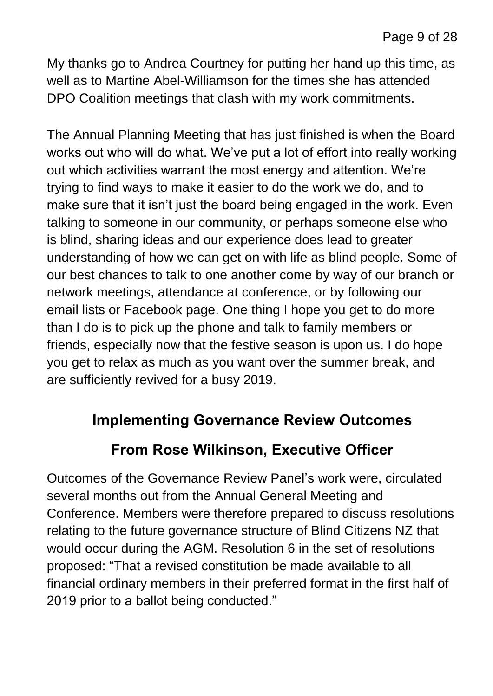My thanks go to Andrea Courtney for putting her hand up this time, as well as to Martine Abel-Williamson for the times she has attended DPO Coalition meetings that clash with my work commitments.

The Annual Planning Meeting that has just finished is when the Board works out who will do what. We've put a lot of effort into really working out which activities warrant the most energy and attention. We're trying to find ways to make it easier to do the work we do, and to make sure that it isn't just the board being engaged in the work. Even talking to someone in our community, or perhaps someone else who is blind, sharing ideas and our experience does lead to greater understanding of how we can get on with life as blind people. Some of our best chances to talk to one another come by way of our branch or network meetings, attendance at conference, or by following our email lists or Facebook page. One thing I hope you get to do more than I do is to pick up the phone and talk to family members or friends, especially now that the festive season is upon us. I do hope you get to relax as much as you want over the summer break, and are sufficiently revived for a busy 2019.

#### **Implementing Governance Review Outcomes**

#### **From Rose Wilkinson, Executive Officer**

Outcomes of the Governance Review Panel's work were, circulated several months out from the Annual General Meeting and Conference. Members were therefore prepared to discuss resolutions relating to the future governance structure of Blind Citizens NZ that would occur during the AGM. Resolution 6 in the set of resolutions proposed: "That a revised constitution be made available to all financial ordinary members in their preferred format in the first half of 2019 prior to a ballot being conducted."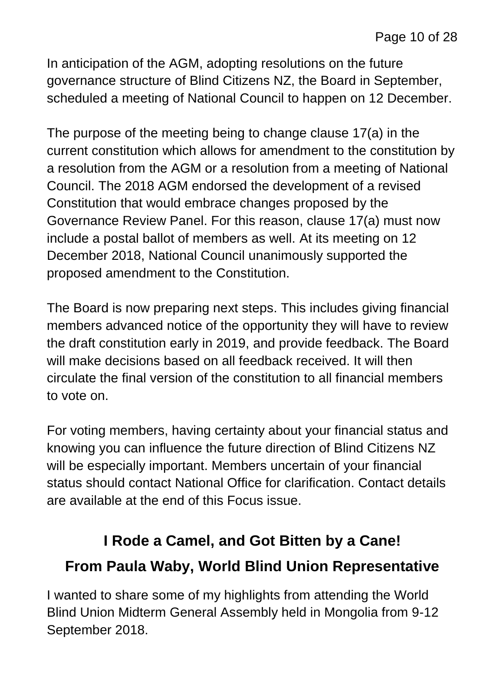In anticipation of the AGM, adopting resolutions on the future governance structure of Blind Citizens NZ, the Board in September, scheduled a meeting of National Council to happen on 12 December.

The purpose of the meeting being to change clause 17(a) in the current constitution which allows for amendment to the constitution by a resolution from the AGM or a resolution from a meeting of National Council. The 2018 AGM endorsed the development of a revised Constitution that would embrace changes proposed by the Governance Review Panel. For this reason, clause 17(a) must now include a postal ballot of members as well. At its meeting on 12 December 2018, National Council unanimously supported the proposed amendment to the Constitution.

The Board is now preparing next steps. This includes giving financial members advanced notice of the opportunity they will have to review the draft constitution early in 2019, and provide feedback. The Board will make decisions based on all feedback received. It will then circulate the final version of the constitution to all financial members to vote on.

For voting members, having certainty about your financial status and knowing you can influence the future direction of Blind Citizens NZ will be especially important. Members uncertain of your financial status should contact National Office for clarification. Contact details are available at the end of this Focus issue.

# **I Rode a Camel, and Got Bitten by a Cane! From Paula Waby, World Blind Union Representative**

I wanted to share some of my highlights from attending the World Blind Union Midterm General Assembly held in Mongolia from 9-12 September 2018.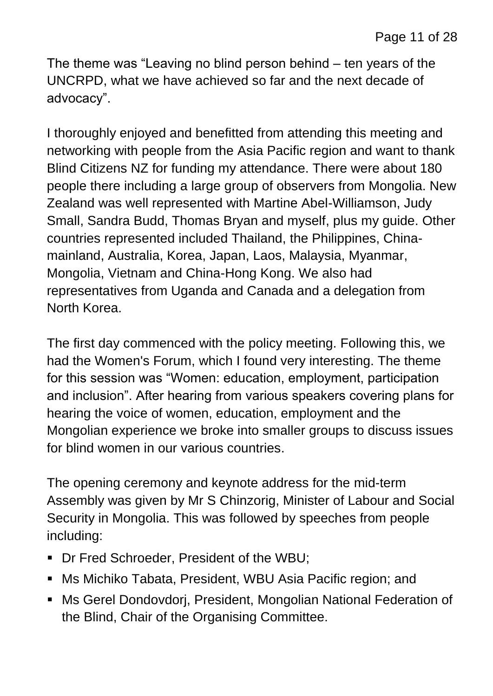The theme was "Leaving no blind person behind – ten years of the UNCRPD, what we have achieved so far and the next decade of advocacy".

I thoroughly enjoyed and benefitted from attending this meeting and networking with people from the Asia Pacific region and want to thank Blind Citizens NZ for funding my attendance. There were about 180 people there including a large group of observers from Mongolia. New Zealand was well represented with Martine Abel-Williamson, Judy Small, Sandra Budd, Thomas Bryan and myself, plus my guide. Other countries represented included Thailand, the Philippines, Chinamainland, Australia, Korea, Japan, Laos, Malaysia, Myanmar, Mongolia, Vietnam and China-Hong Kong. We also had representatives from Uganda and Canada and a delegation from North Korea.

The first day commenced with the policy meeting. Following this, we had the Women's Forum, which I found very interesting. The theme for this session was "Women: education, employment, participation and inclusion". After hearing from various speakers covering plans for hearing the voice of women, education, employment and the Mongolian experience we broke into smaller groups to discuss issues for blind women in our various countries.

The opening ceremony and keynote address for the mid-term Assembly was given by Mr S Chinzorig, Minister of Labour and Social Security in Mongolia. This was followed by speeches from people including:

- Dr Fred Schroeder, President of the WBU;
- Ms Michiko Tabata, President, WBU Asia Pacific region; and
- Ms Gerel Dondovdorj, President, Mongolian National Federation of the Blind, Chair of the Organising Committee.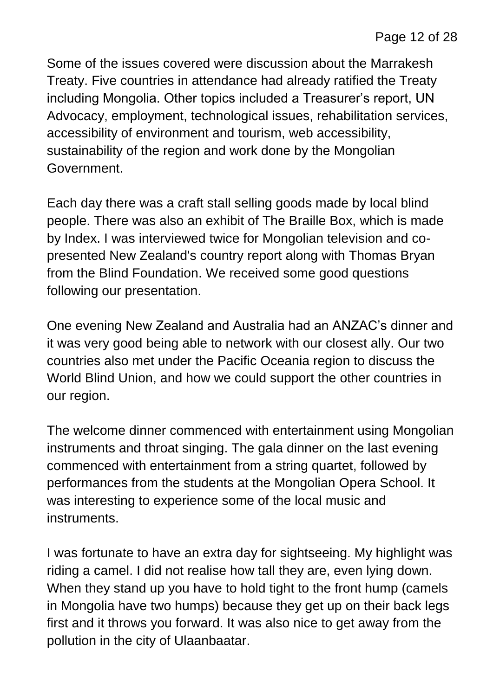Some of the issues covered were discussion about the Marrakesh Treaty. Five countries in attendance had already ratified the Treaty including Mongolia. Other topics included a Treasurer's report, UN Advocacy, employment, technological issues, rehabilitation services, accessibility of environment and tourism, web accessibility, sustainability of the region and work done by the Mongolian Government.

Each day there was a craft stall selling goods made by local blind people. There was also an exhibit of The Braille Box, which is made by Index. I was interviewed twice for Mongolian television and copresented New Zealand's country report along with Thomas Bryan from the Blind Foundation. We received some good questions following our presentation.

One evening New Zealand and Australia had an ANZAC's dinner and it was very good being able to network with our closest ally. Our two countries also met under the Pacific Oceania region to discuss the World Blind Union, and how we could support the other countries in our region.

The welcome dinner commenced with entertainment using Mongolian instruments and throat singing. The gala dinner on the last evening commenced with entertainment from a string quartet, followed by performances from the students at the Mongolian Opera School. It was interesting to experience some of the local music and instruments.

I was fortunate to have an extra day for sightseeing. My highlight was riding a camel. I did not realise how tall they are, even lying down. When they stand up you have to hold tight to the front hump (camels in Mongolia have two humps) because they get up on their back legs first and it throws you forward. It was also nice to get away from the pollution in the city of Ulaanbaatar.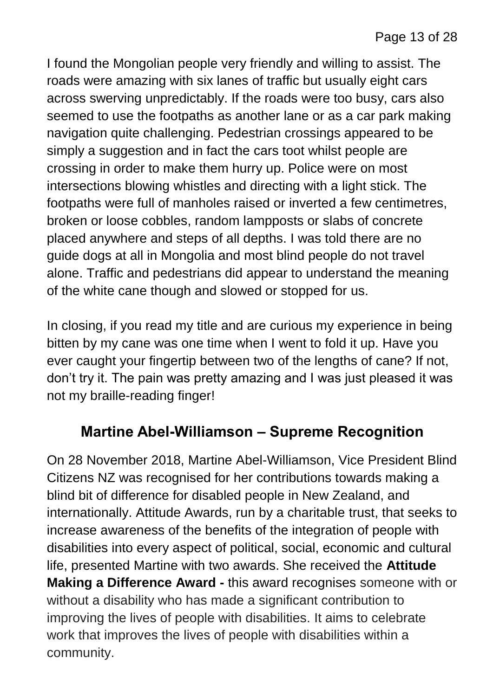I found the Mongolian people very friendly and willing to assist. The roads were amazing with six lanes of traffic but usually eight cars across swerving unpredictably. If the roads were too busy, cars also seemed to use the footpaths as another lane or as a car park making navigation quite challenging. Pedestrian crossings appeared to be simply a suggestion and in fact the cars toot whilst people are crossing in order to make them hurry up. Police were on most intersections blowing whistles and directing with a light stick. The footpaths were full of manholes raised or inverted a few centimetres, broken or loose cobbles, random lampposts or slabs of concrete placed anywhere and steps of all depths. I was told there are no guide dogs at all in Mongolia and most blind people do not travel alone. Traffic and pedestrians did appear to understand the meaning of the white cane though and slowed or stopped for us.

In closing, if you read my title and are curious my experience in being bitten by my cane was one time when I went to fold it up. Have you ever caught your fingertip between two of the lengths of cane? If not, don't try it. The pain was pretty amazing and I was just pleased it was not my braille-reading finger!

#### **Martine Abel-Williamson – Supreme Recognition**

On 28 November 2018, Martine Abel-Williamson, Vice President Blind Citizens NZ was recognised for her contributions towards making a blind bit of difference for disabled people in New Zealand, and internationally. Attitude Awards, run by a charitable trust, that seeks to increase awareness of the benefits of the integration of people with disabilities into every aspect of political, social, economic and cultural life, presented Martine with two awards. She received the **Attitude Making a Difference Award -** this award recognises someone with or without a disability who has made a significant contribution to improving the lives of people with disabilities. It aims to celebrate work that improves the lives of people with disabilities within a community.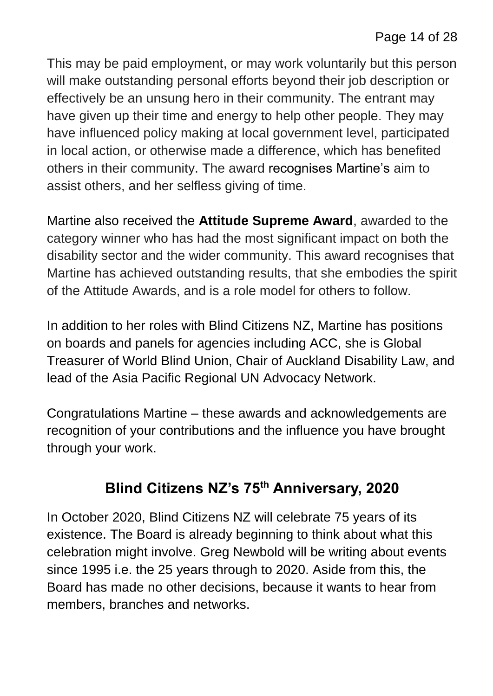This may be paid employment, or may work voluntarily but this person will make outstanding personal efforts beyond their job description or effectively be an unsung hero in their community. The entrant may have given up their time and energy to help other people. They may have influenced policy making at local government level, participated in local action, or otherwise made a difference, which has benefited others in their community. The award recognises Martine's aim to assist others, and her selfless giving of time.

Martine also received the **Attitude Supreme Award**, awarded to the category winner who has had the most significant impact on both the disability sector and the wider community. This award recognises that Martine has achieved outstanding results, that she embodies the spirit of the Attitude Awards, and is a role model for others to follow.

In addition to her roles with Blind Citizens NZ, Martine has positions on boards and panels for agencies including ACC, she is Global Treasurer of World Blind Union, Chair of Auckland Disability Law, and lead of the Asia Pacific Regional UN Advocacy Network.

Congratulations Martine – these awards and acknowledgements are recognition of your contributions and the influence you have brought through your work.

# **Blind Citizens NZ's 75th Anniversary, 2020**

In October 2020, Blind Citizens NZ will celebrate 75 years of its existence. The Board is already beginning to think about what this celebration might involve. Greg Newbold will be writing about events since 1995 i.e. the 25 years through to 2020. Aside from this, the Board has made no other decisions, because it wants to hear from members, branches and networks.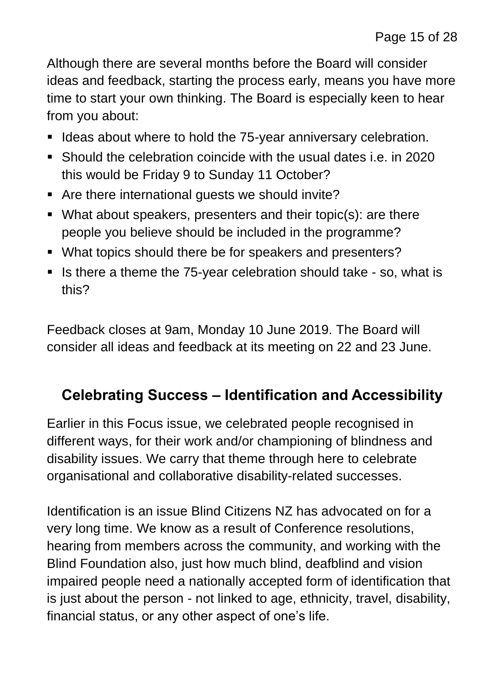Although there are several months before the Board will consider ideas and feedback, starting the process early, means you have more time to start your own thinking. The Board is especially keen to hear from you about:

- **If Ideas about where to hold the 75-year anniversary celebration.**
- Should the celebration coincide with the usual dates i.e. in 2020 this would be Friday 9 to Sunday 11 October?
- Are there international guests we should invite?
- What about speakers, presenters and their topic(s): are there people you believe should be included in the programme?
- What topics should there be for speakers and presenters?
- If is there a theme the  $75$ -year celebration should take so, what is this?

Feedback closes at 9am, Monday 10 June 2019. The Board will consider all ideas and feedback at its meeting on 22 and 23 June.

### **Celebrating Success – Identification and Accessibility**

Earlier in this Focus issue, we celebrated people recognised in different ways, for their work and/or championing of blindness and disability issues. We carry that theme through here to celebrate organisational and collaborative disability-related successes.

Identification is an issue Blind Citizens NZ has advocated on for a very long time. We know as a result of Conference resolutions, hearing from members across the community, and working with the Blind Foundation also, just how much blind, deafblind and vision impaired people need a nationally accepted form of identification that is just about the person - not linked to age, ethnicity, travel, disability, financial status, or any other aspect of one's life.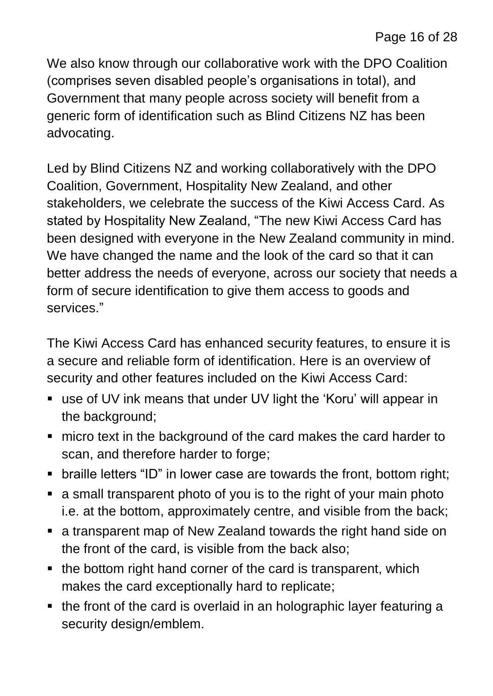We also know through our collaborative work with the DPO Coalition (comprises seven disabled people's organisations in total), and Government that many people across society will benefit from a generic form of identification such as Blind Citizens NZ has been advocating.

Led by Blind Citizens NZ and working collaboratively with the DPO Coalition, Government, Hospitality New Zealand, and other stakeholders, we celebrate the success of the Kiwi Access Card. As stated by Hospitality New Zealand, "The new Kiwi Access Card has been designed with everyone in the New Zealand community in mind. We have changed the name and the look of the card so that it can better address the needs of everyone, across our society that needs a form of secure identification to give them access to goods and services."

The Kiwi Access Card has enhanced security features, to ensure it is a secure and reliable form of identification. Here is an overview of security and other features included on the Kiwi Access Card:

- use of UV ink means that under UV light the 'Koru' will appear in the background;
- micro text in the background of the card makes the card harder to scan, and therefore harder to forge;
- braille letters "ID" in lower case are towards the front, bottom right;
- a small transparent photo of you is to the right of your main photo i.e. at the bottom, approximately centre, and visible from the back;
- a transparent map of New Zealand towards the right hand side on the front of the card, is visible from the back also;
- the bottom right hand corner of the card is transparent, which makes the card exceptionally hard to replicate;
- the front of the card is overlaid in an holographic layer featuring a security design/emblem.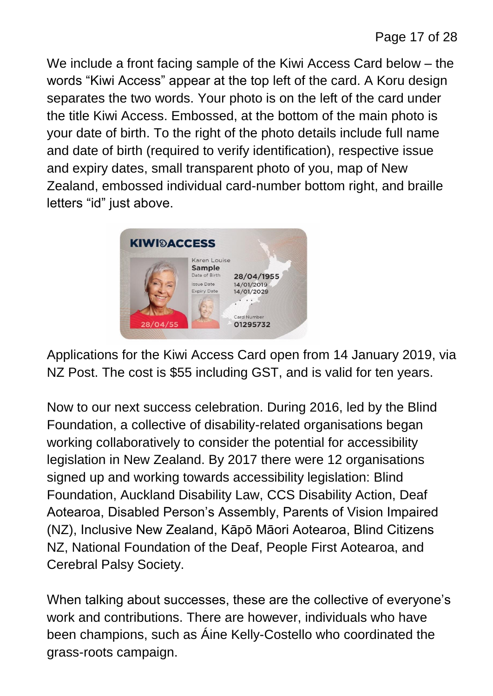We include a front facing sample of the Kiwi Access Card below – the words "Kiwi Access" appear at the top left of the card. A Koru design separates the two words. Your photo is on the left of the card under the title Kiwi Access. Embossed, at the bottom of the main photo is your date of birth. To the right of the photo details include full name and date of birth (required to verify identification), respective issue and expiry dates, small transparent photo of you, map of New Zealand, embossed individual card-number bottom right, and braille letters "id" just above.



Applications for the Kiwi Access Card open from 14 January 2019, via NZ Post. The cost is \$55 including GST, and is valid for ten years.

Now to our next success celebration. During 2016, led by the Blind Foundation, a collective of disability-related organisations began working collaboratively to consider the potential for accessibility legislation in New Zealand. By 2017 there were 12 organisations signed up and working towards accessibility legislation: Blind Foundation, Auckland Disability Law, CCS Disability Action, Deaf Aotearoa, Disabled Person's Assembly, Parents of Vision Impaired (NZ), Inclusive New Zealand, Kāpō Māori Aotearoa, Blind Citizens NZ, National Foundation of the Deaf, People First Aotearoa, and Cerebral Palsy Society.

When talking about successes, these are the collective of everyone's work and contributions. There are however, individuals who have been champions, such as Áine Kelly-Costello who coordinated the grass-roots campaign.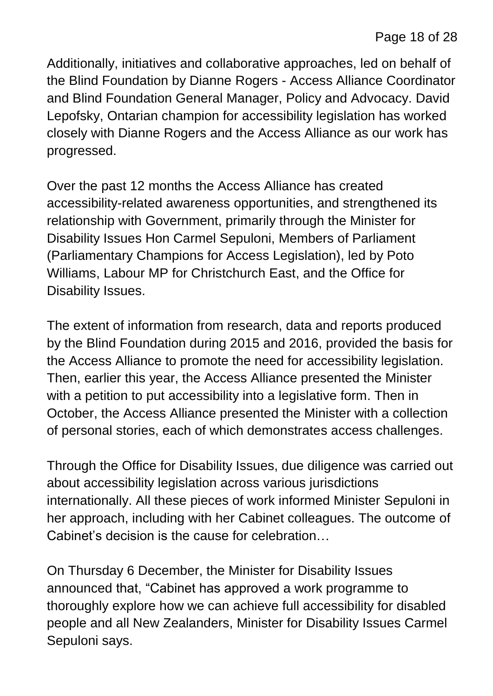Additionally, initiatives and collaborative approaches, led on behalf of the Blind Foundation by Dianne Rogers - Access Alliance Coordinator and Blind Foundation General Manager, Policy and Advocacy. David Lepofsky, Ontarian champion for accessibility legislation has worked closely with Dianne Rogers and the Access Alliance as our work has progressed.

Over the past 12 months the Access Alliance has created accessibility-related awareness opportunities, and strengthened its relationship with Government, primarily through the Minister for Disability Issues Hon Carmel Sepuloni, Members of Parliament (Parliamentary Champions for Access Legislation), led by Poto Williams, Labour MP for Christchurch East, and the Office for Disability Issues.

The extent of information from research, data and reports produced by the Blind Foundation during 2015 and 2016, provided the basis for the Access Alliance to promote the need for accessibility legislation. Then, earlier this year, the Access Alliance presented the Minister with a petition to put accessibility into a legislative form. Then in October, the Access Alliance presented the Minister with a collection of personal stories, each of which demonstrates access challenges.

Through the Office for Disability Issues, due diligence was carried out about accessibility legislation across various jurisdictions internationally. All these pieces of work informed Minister Sepuloni in her approach, including with her Cabinet colleagues. The outcome of Cabinet's decision is the cause for celebration…

On Thursday 6 December, the Minister for Disability Issues announced that, "Cabinet has approved a work programme to thoroughly explore how we can achieve full accessibility for disabled people and all New Zealanders, Minister for Disability Issues Carmel Sepuloni says.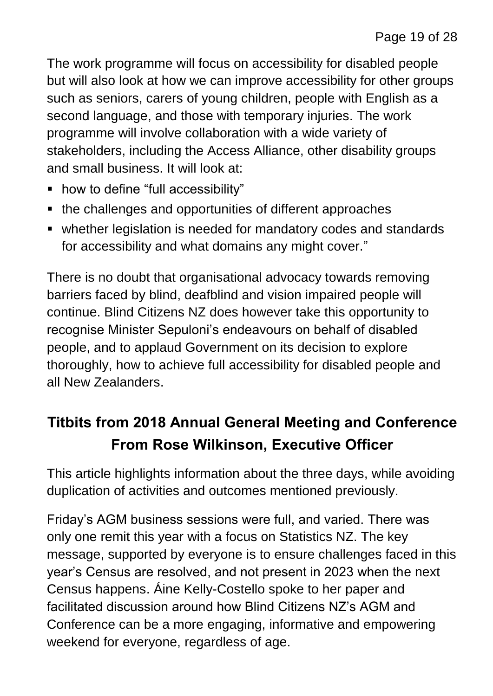The work programme will focus on accessibility for disabled people but will also look at how we can improve accessibility for other groups such as seniors, carers of young children, people with English as a second language, and those with temporary injuries. The work programme will involve collaboration with a wide variety of stakeholders, including the Access Alliance, other disability groups and small business. It will look at:

- how to define "full accessibility"
- the challenges and opportunities of different approaches
- whether legislation is needed for mandatory codes and standards for accessibility and what domains any might cover."

There is no doubt that organisational advocacy towards removing barriers faced by blind, deafblind and vision impaired people will continue. Blind Citizens NZ does however take this opportunity to recognise Minister Sepuloni's endeavours on behalf of disabled people, and to applaud Government on its decision to explore thoroughly, how to achieve full accessibility for disabled people and all New Zealanders.

# **Titbits from 2018 Annual General Meeting and Conference From Rose Wilkinson, Executive Officer**

This article highlights information about the three days, while avoiding duplication of activities and outcomes mentioned previously.

Friday's AGM business sessions were full, and varied. There was only one remit this year with a focus on Statistics NZ. The key message, supported by everyone is to ensure challenges faced in this year's Census are resolved, and not present in 2023 when the next Census happens. Áine Kelly-Costello spoke to her paper and facilitated discussion around how Blind Citizens NZ's AGM and Conference can be a more engaging, informative and empowering weekend for everyone, regardless of age.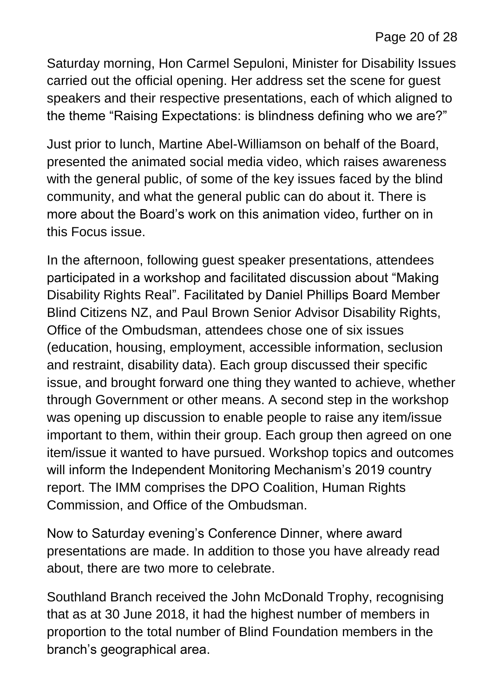Saturday morning, Hon Carmel Sepuloni, Minister for Disability Issues carried out the official opening. Her address set the scene for guest speakers and their respective presentations, each of which aligned to the theme "Raising Expectations: is blindness defining who we are?"

Just prior to lunch, Martine Abel-Williamson on behalf of the Board, presented the animated social media video, which raises awareness with the general public, of some of the key issues faced by the blind community, and what the general public can do about it. There is more about the Board's work on this animation video, further on in this Focus issue.

In the afternoon, following guest speaker presentations, attendees participated in a workshop and facilitated discussion about "Making Disability Rights Real". Facilitated by Daniel Phillips Board Member Blind Citizens NZ, and Paul Brown Senior Advisor Disability Rights, Office of the Ombudsman, attendees chose one of six issues (education, housing, employment, accessible information, seclusion and restraint, disability data). Each group discussed their specific issue, and brought forward one thing they wanted to achieve, whether through Government or other means. A second step in the workshop was opening up discussion to enable people to raise any item/issue important to them, within their group. Each group then agreed on one item/issue it wanted to have pursued. Workshop topics and outcomes will inform the Independent Monitoring Mechanism's 2019 country report. The IMM comprises the DPO Coalition, Human Rights Commission, and Office of the Ombudsman.

Now to Saturday evening's Conference Dinner, where award presentations are made. In addition to those you have already read about, there are two more to celebrate.

Southland Branch received the John McDonald Trophy, recognising that as at 30 June 2018, it had the highest number of members in proportion to the total number of Blind Foundation members in the branch's geographical area.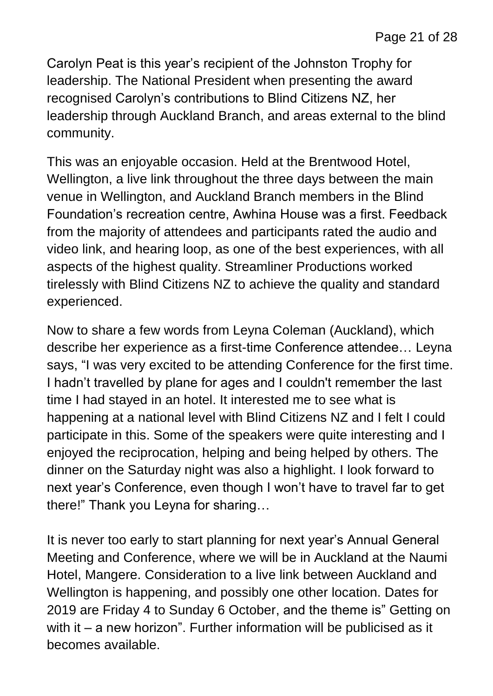Carolyn Peat is this year's recipient of the Johnston Trophy for leadership. The National President when presenting the award recognised Carolyn's contributions to Blind Citizens NZ, her leadership through Auckland Branch, and areas external to the blind community.

This was an enjoyable occasion. Held at the Brentwood Hotel, Wellington, a live link throughout the three days between the main venue in Wellington, and Auckland Branch members in the Blind Foundation's recreation centre, Awhina House was a first. Feedback from the majority of attendees and participants rated the audio and video link, and hearing loop, as one of the best experiences, with all aspects of the highest quality. Streamliner Productions worked tirelessly with Blind Citizens NZ to achieve the quality and standard experienced.

Now to share a few words from Leyna Coleman (Auckland), which describe her experience as a first-time Conference attendee… Leyna says, "I was very excited to be attending Conference for the first time. I hadn't travelled by plane for ages and I couldn't remember the last time I had stayed in an hotel. It interested me to see what is happening at a national level with Blind Citizens NZ and I felt I could participate in this. Some of the speakers were quite interesting and I enjoyed the reciprocation, helping and being helped by others. The dinner on the Saturday night was also a highlight. I look forward to next year's Conference, even though I won't have to travel far to get there!" Thank you Leyna for sharing…

It is never too early to start planning for next year's Annual General Meeting and Conference, where we will be in Auckland at the Naumi Hotel, Mangere. Consideration to a live link between Auckland and Wellington is happening, and possibly one other location. Dates for 2019 are Friday 4 to Sunday 6 October, and the theme is" Getting on with it – a new horizon". Further information will be publicised as it becomes available.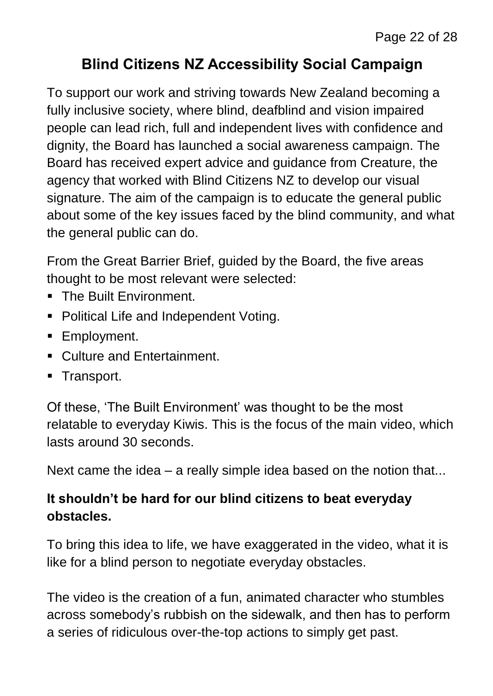# **Blind Citizens NZ Accessibility Social Campaign**

To support our work and striving towards New Zealand becoming a fully inclusive society, where blind, deafblind and vision impaired people can lead rich, full and independent lives with confidence and dignity, the Board has launched a social awareness campaign. The Board has received expert advice and guidance from Creature, the agency that worked with Blind Citizens NZ to develop our visual signature. The aim of the campaign is to educate the general public about some of the key issues faced by the blind community, and what the general public can do.

From the Great Barrier Brief, guided by the Board, the five areas thought to be most relevant were selected:

- **The Built Environment.**
- **Political Life and Independent Voting.**
- **Employment.**
- Culture and Entertainment.
- **Transport.**

Of these, 'The Built Environment' was thought to be the most relatable to everyday Kiwis. This is the focus of the main video, which lasts around 30 seconds.

Next came the idea – a really simple idea based on the notion that...

#### **It shouldn't be hard for our blind citizens to beat everyday obstacles.**

To bring this idea to life, we have exaggerated in the video, what it is like for a blind person to negotiate everyday obstacles.

The video is the creation of a fun, animated character who stumbles across somebody's rubbish on the sidewalk, and then has to perform a series of ridiculous over-the-top actions to simply get past.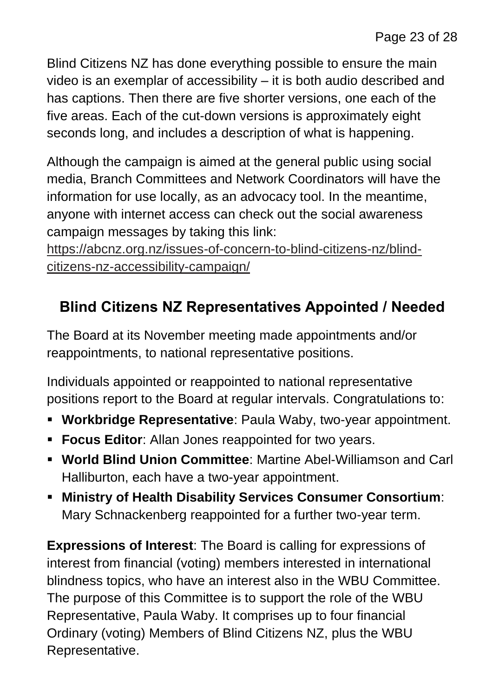Blind Citizens NZ has done everything possible to ensure the main video is an exemplar of accessibility – it is both audio described and has captions. Then there are five shorter versions, one each of the five areas. Each of the cut-down versions is approximately eight seconds long, and includes a description of what is happening.

Although the campaign is aimed at the general public using social media, Branch Committees and Network Coordinators will have the information for use locally, as an advocacy tool. In the meantime, anyone with internet access can check out the social awareness campaign messages by taking this link:

[https://abcnz.org.nz/issues-of-concern-to-blind-citizens-nz/blind](https://abcnz.org.nz/issues-of-concern-to-blind-citizens-nz/blind-citizens-nz-accessibility-campaign/)[citizens-nz-accessibility-campaign/](https://abcnz.org.nz/issues-of-concern-to-blind-citizens-nz/blind-citizens-nz-accessibility-campaign/)

# **Blind Citizens NZ Representatives Appointed / Needed**

The Board at its November meeting made appointments and/or reappointments, to national representative positions.

Individuals appointed or reappointed to national representative positions report to the Board at regular intervals. Congratulations to:

- **Workbridge Representative**: Paula Waby, two-year appointment.
- **Focus Editor:** Allan Jones reappointed for two years.
- **World Blind Union Committee**: Martine Abel-Williamson and Carl Halliburton, each have a two-year appointment.
- **Ministry of Health Disability Services Consumer Consortium**: Mary Schnackenberg reappointed for a further two-year term.

**Expressions of Interest**: The Board is calling for expressions of interest from financial (voting) members interested in international blindness topics, who have an interest also in the WBU Committee. The purpose of this Committee is to support the role of the WBU Representative, Paula Waby. It comprises up to four financial Ordinary (voting) Members of Blind Citizens NZ, plus the WBU Representative.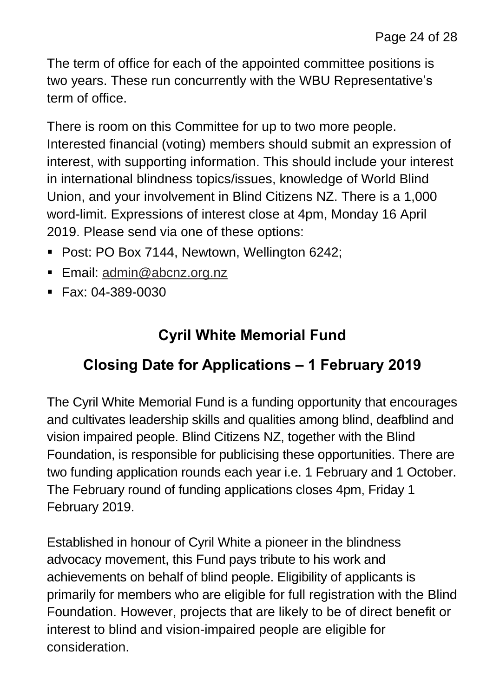The term of office for each of the appointed committee positions is two years. These run concurrently with the WBU Representative's term of office.

There is room on this Committee for up to two more people. Interested financial (voting) members should submit an expression of interest, with supporting information. This should include your interest in international blindness topics/issues, knowledge of World Blind Union, and your involvement in Blind Citizens NZ. There is a 1,000 word-limit. Expressions of interest close at 4pm, Monday 16 April 2019. Please send via one of these options:

- Post: PO Box 7144, Newtown, Wellington 6242;
- Email: [admin@abcnz.org.nz](mailto:admin@abcnz.org.nz)
- $\blacksquare$  Fax: 04-389-0030

### **Cyril White Memorial Fund**

### **Closing Date for Applications – 1 February 2019**

The Cyril White Memorial Fund is a funding opportunity that encourages and cultivates leadership skills and qualities among blind, deafblind and vision impaired people. Blind Citizens NZ, together with the Blind Foundation, is responsible for publicising these opportunities. There are two funding application rounds each year i.e. 1 February and 1 October. The February round of funding applications closes 4pm, Friday 1 February 2019.

Established in honour of Cyril White a pioneer in the blindness advocacy movement, this Fund pays tribute to his work and achievements on behalf of blind people. Eligibility of applicants is primarily for members who are eligible for full registration with the Blind Foundation. However, projects that are likely to be of direct benefit or interest to blind and vision-impaired people are eligible for consideration.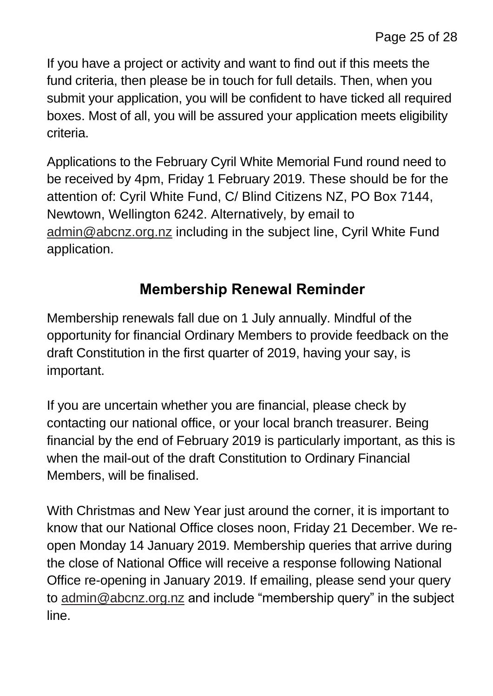If you have a project or activity and want to find out if this meets the fund criteria, then please be in touch for full details. Then, when you submit your application, you will be confident to have ticked all required boxes. Most of all, you will be assured your application meets eligibility criteria.

Applications to the February Cyril White Memorial Fund round need to be received by 4pm, Friday 1 February 2019. These should be for the attention of: Cyril White Fund, C/ Blind Citizens NZ, PO Box 7144, Newtown, Wellington 6242. Alternatively, by email to [admin@abcnz.org.nz](mailto:admin@abcnz.org.nz) including in the subject line, Cyril White Fund application.

#### **Membership Renewal Reminder**

Membership renewals fall due on 1 July annually. Mindful of the opportunity for financial Ordinary Members to provide feedback on the draft Constitution in the first quarter of 2019, having your say, is important.

If you are uncertain whether you are financial, please check by contacting our national office, or your local branch treasurer. Being financial by the end of February 2019 is particularly important, as this is when the mail-out of the draft Constitution to Ordinary Financial Members, will be finalised.

With Christmas and New Year just around the corner, it is important to know that our National Office closes noon, Friday 21 December. We reopen Monday 14 January 2019. Membership queries that arrive during the close of National Office will receive a response following National Office re-opening in January 2019. If emailing, please send your query to [admin@abcnz.org.nz](mailto:admin@abcnz.org.nz) and include "membership query" in the subject line.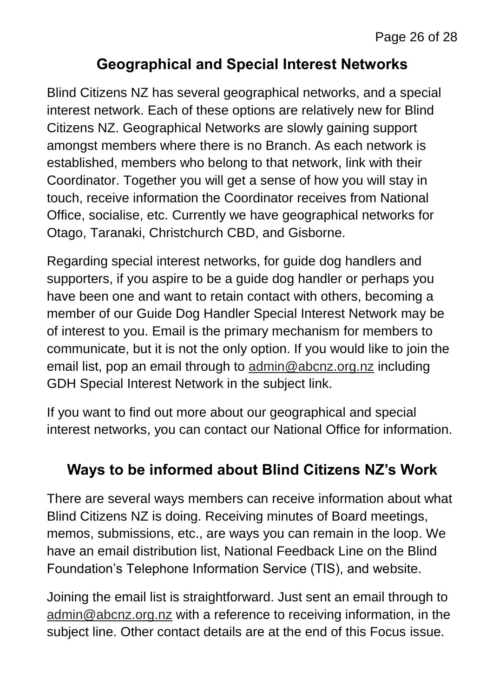#### **Geographical and Special Interest Networks**

Blind Citizens NZ has several geographical networks, and a special interest network. Each of these options are relatively new for Blind Citizens NZ. Geographical Networks are slowly gaining support amongst members where there is no Branch. As each network is established, members who belong to that network, link with their Coordinator. Together you will get a sense of how you will stay in touch, receive information the Coordinator receives from National Office, socialise, etc. Currently we have geographical networks for Otago, Taranaki, Christchurch CBD, and Gisborne.

Regarding special interest networks, for guide dog handlers and supporters, if you aspire to be a guide dog handler or perhaps you have been one and want to retain contact with others, becoming a member of our Guide Dog Handler Special Interest Network may be of interest to you. Email is the primary mechanism for members to communicate, but it is not the only option. If you would like to join the email list, pop an email through to [admin@abcnz.org.nz](mailto:admin@abcnz.org.nz) including GDH Special Interest Network in the subject link.

If you want to find out more about our geographical and special interest networks, you can contact our National Office for information.

### **Ways to be informed about Blind Citizens NZ's Work**

There are several ways members can receive information about what Blind Citizens NZ is doing. Receiving minutes of Board meetings, memos, submissions, etc., are ways you can remain in the loop. We have an email distribution list, National Feedback Line on the Blind Foundation's Telephone Information Service (TIS), and website.

Joining the email list is straightforward. Just sent an email through to [admin@abcnz.org.nz](mailto:admin@abcnz.org.nz) with a reference to receiving information, in the subject line. Other contact details are at the end of this Focus issue.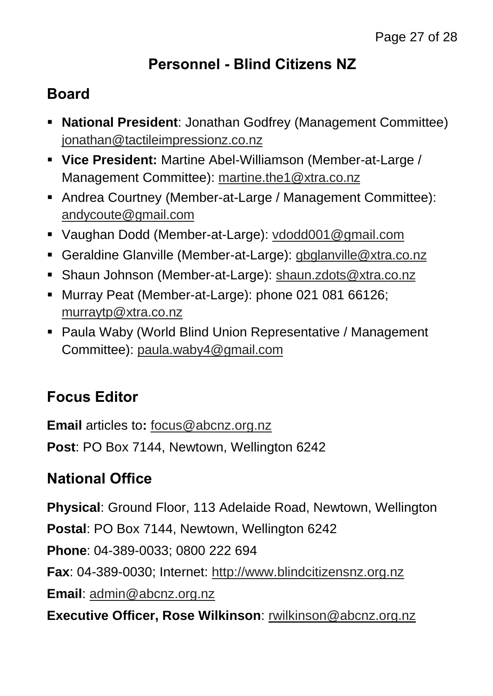### **Personnel - Blind Citizens NZ**

### **Board**

- **National President**: Jonathan Godfrey (Management Committee) [jonathan@tactileimpressionz.co.nz](mailto:jonathan@tactileimpressionz.co.nz)
- **Vice President:** Martine Abel-Williamson (Member-at-Large / Management Committee): [martine.the1@xtra.co.nz](mailto:martine.the1@xtra.co.nz)
- Andrea Courtney (Member-at-Large / Management Committee): [andycoute@gmail.com](mailto:andycoute@gmail.com)
- Vaughan Dodd (Member-at-Large): [vdodd001@gmail.com](mailto:vdodd001@gmail.com)
- Geraldine Glanville (Member-at-Large): [gbglanville@xtra.co.nz](mailto:gbglanville@xtra.co.nz)
- Shaun Johnson (Member-at-Large): [shaun.zdots@xtra.co.nz](mailto:shaun.zdots@xtra.co.nz%20co.nz)
- Murray Peat (Member-at-Large): phone 021 081 66126; [murraytp@xtra.co.nz](mailto:murraytp@xtra.co.nz)
- Paula Waby (World Blind Union Representative / Management Committee): [paula.waby4@gmail.com](mailto:paula.waby4@gmail.com)

# **Focus Editor**

**Email** articles to**:** [focus@abcnz.org.nz](mailto:focus@abcnz.org.nz) **Post**: PO Box 7144, Newtown, Wellington 6242

### **National Office**

**Physical**: Ground Floor, 113 Adelaide Road, Newtown, Wellington **Postal**: PO Box 7144, Newtown, Wellington 6242 **Phone**: 04-389-0033; 0800 222 694 **Fax**: 04-389-0030; Internet: [http://www.blindcitizensnz.org.nz](http://www.blindcitizensnz.org.nz/) **Email**: [admin@abcnz.org.nz](mailto:admin@abcnz.org.nz) **Executive Officer, Rose Wilkinson**: [rwilkinson@abcnz.org.nz](mailto:rwilkinson@abcnz.org.nz)